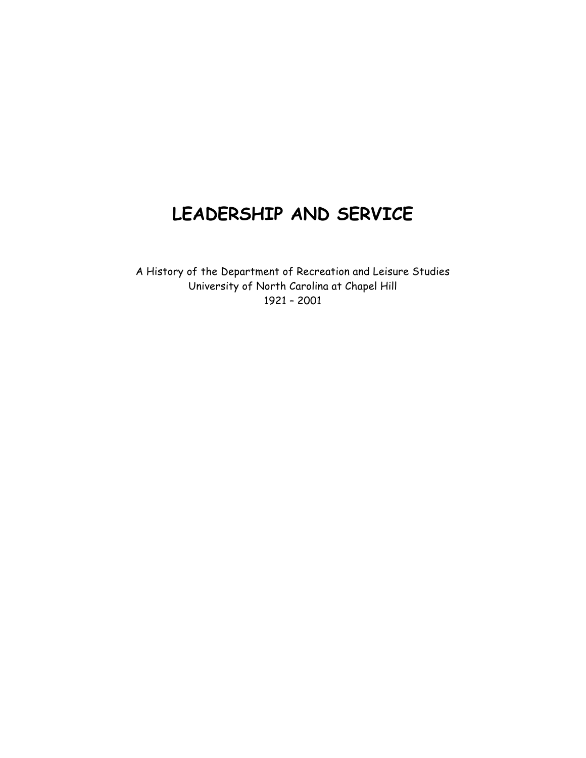# **LEADERSHIP AND SERVICE**

A History of the Department of Recreation and Leisure Studies University of North Carolina at Chapel Hill 1921 – 2001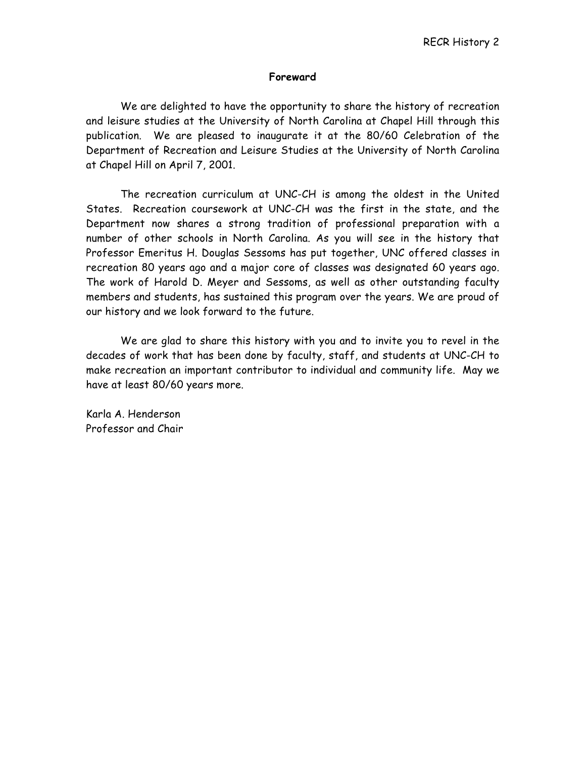#### **Foreward**

We are delighted to have the opportunity to share the history of recreation and leisure studies at the University of North Carolina at Chapel Hill through this publication. We are pleased to inaugurate it at the 80/60 Celebration of the Department of Recreation and Leisure Studies at the University of North Carolina at Chapel Hill on April 7, 2001.

The recreation curriculum at UNC-CH is among the oldest in the United States. Recreation coursework at UNC-CH was the first in the state, and the Department now shares a strong tradition of professional preparation with a number of other schools in North Carolina. As you will see in the history that Professor Emeritus H. Douglas Sessoms has put together, UNC offered classes in recreation 80 years ago and a major core of classes was designated 60 years ago. The work of Harold D. Meyer and Sessoms, as well as other outstanding faculty members and students, has sustained this program over the years. We are proud of our history and we look forward to the future.

We are glad to share this history with you and to invite you to revel in the decades of work that has been done by faculty, staff, and students at UNC-CH to make recreation an important contributor to individual and community life. May we have at least 80/60 years more.

Karla A. Henderson Professor and Chair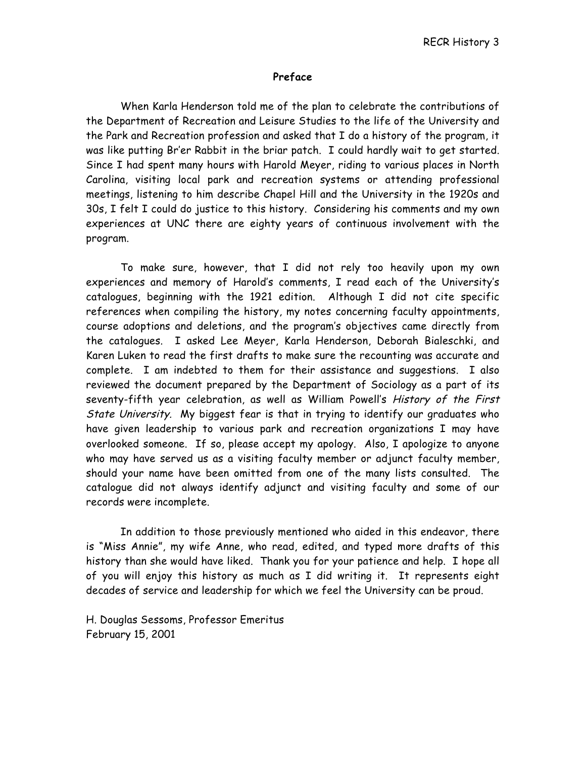#### **Preface**

When Karla Henderson told me of the plan to celebrate the contributions of the Department of Recreation and Leisure Studies to the life of the University and the Park and Recreation profession and asked that I do a history of the program, it was like putting Br'er Rabbit in the briar patch. I could hardly wait to get started. Since I had spent many hours with Harold Meyer, riding to various places in North Carolina, visiting local park and recreation systems or attending professional meetings, listening to him describe Chapel Hill and the University in the 1920s and 30s, I felt I could do justice to this history. Considering his comments and my own experiences at UNC there are eighty years of continuous involvement with the program.

To make sure, however, that I did not rely too heavily upon my own experiences and memory of Harold's comments, I read each of the University's catalogues, beginning with the 1921 edition. Although I did not cite specific references when compiling the history, my notes concerning faculty appointments, course adoptions and deletions, and the program's objectives came directly from the catalogues. I asked Lee Meyer, Karla Henderson, Deborah Bialeschki, and Karen Luken to read the first drafts to make sure the recounting was accurate and complete. I am indebted to them for their assistance and suggestions. I also reviewed the document prepared by the Department of Sociology as a part of its seventy-fifth year celebration, as well as William Powell's History of the First State University. My biggest fear is that in trying to identify our graduates who have given leadership to various park and recreation organizations I may have overlooked someone. If so, please accept my apology. Also, I apologize to anyone who may have served us as a visiting faculty member or adjunct faculty member, should your name have been omitted from one of the many lists consulted. The catalogue did not always identify adjunct and visiting faculty and some of our records were incomplete.

In addition to those previously mentioned who aided in this endeavor, there is "Miss Annie", my wife Anne, who read, edited, and typed more drafts of this history than she would have liked. Thank you for your patience and help. I hope all of you will enjoy this history as much as I did writing it. It represents eight decades of service and leadership for which we feel the University can be proud.

H. Douglas Sessoms, Professor Emeritus February 15, 2001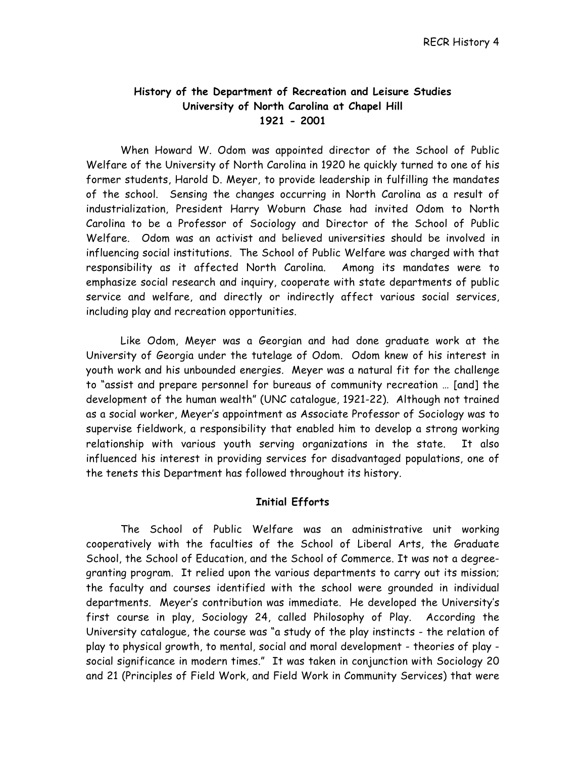# **History of the Department of Recreation and Leisure Studies University of North Carolina at Chapel Hill 1921 - 2001**

When Howard W. Odom was appointed director of the School of Public Welfare of the University of North Carolina in 1920 he quickly turned to one of his former students, Harold D. Meyer, to provide leadership in fulfilling the mandates of the school. Sensing the changes occurring in North Carolina as a result of industrialization, President Harry Woburn Chase had invited Odom to North Carolina to be a Professor of Sociology and Director of the School of Public Welfare. Odom was an activist and believed universities should be involved in influencing social institutions. The School of Public Welfare was charged with that responsibility as it affected North Carolina. Among its mandates were to emphasize social research and inquiry, cooperate with state departments of public service and welfare, and directly or indirectly affect various social services, including play and recreation opportunities.

Like Odom, Meyer was a Georgian and had done graduate work at the University of Georgia under the tutelage of Odom. Odom knew of his interest in youth work and his unbounded energies. Meyer was a natural fit for the challenge to "assist and prepare personnel for bureaus of community recreation … [and] the development of the human wealth" (UNC catalogue, 1921-22). Although not trained as a social worker, Meyer's appointment as Associate Professor of Sociology was to supervise fieldwork, a responsibility that enabled him to develop a strong working relationship with various youth serving organizations in the state. It also influenced his interest in providing services for disadvantaged populations, one of the tenets this Department has followed throughout its history.

#### **Initial Efforts**

The School of Public Welfare was an administrative unit working cooperatively with the faculties of the School of Liberal Arts, the Graduate School, the School of Education, and the School of Commerce. It was not a degreegranting program. It relied upon the various departments to carry out its mission; the faculty and courses identified with the school were grounded in individual departments. Meyer's contribution was immediate. He developed the University's first course in play, Sociology 24, called Philosophy of Play. According the University catalogue, the course was "a study of the play instincts - the relation of play to physical growth, to mental, social and moral development - theories of play social significance in modern times." It was taken in conjunction with Sociology 20 and 21 (Principles of Field Work, and Field Work in Community Services) that were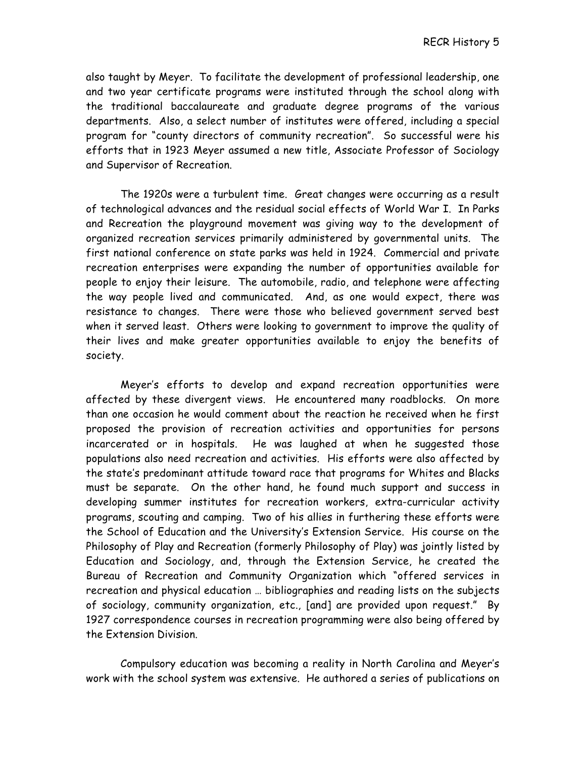also taught by Meyer. To facilitate the development of professional leadership, one and two year certificate programs were instituted through the school along with the traditional baccalaureate and graduate degree programs of the various departments. Also, a select number of institutes were offered, including a special program for "county directors of community recreation". So successful were his efforts that in 1923 Meyer assumed a new title, Associate Professor of Sociology and Supervisor of Recreation.

The 1920s were a turbulent time. Great changes were occurring as a result of technological advances and the residual social effects of World War I. In Parks and Recreation the playground movement was giving way to the development of organized recreation services primarily administered by governmental units. The first national conference on state parks was held in 1924. Commercial and private recreation enterprises were expanding the number of opportunities available for people to enjoy their leisure. The automobile, radio, and telephone were affecting the way people lived and communicated. And, as one would expect, there was resistance to changes. There were those who believed government served best when it served least. Others were looking to government to improve the quality of their lives and make greater opportunities available to enjoy the benefits of society.

Meyer's efforts to develop and expand recreation opportunities were affected by these divergent views. He encountered many roadblocks. On more than one occasion he would comment about the reaction he received when he first proposed the provision of recreation activities and opportunities for persons incarcerated or in hospitals. He was laughed at when he suggested those populations also need recreation and activities. His efforts were also affected by the state's predominant attitude toward race that programs for Whites and Blacks must be separate. On the other hand, he found much support and success in developing summer institutes for recreation workers, extra-curricular activity programs, scouting and camping. Two of his allies in furthering these efforts were the School of Education and the University's Extension Service. His course on the Philosophy of Play and Recreation (formerly Philosophy of Play) was jointly listed by Education and Sociology, and, through the Extension Service, he created the Bureau of Recreation and Community Organization which "offered services in recreation and physical education … bibliographies and reading lists on the subjects of sociology, community organization, etc., [and] are provided upon request." By 1927 correspondence courses in recreation programming were also being offered by the Extension Division.

Compulsory education was becoming a reality in North Carolina and Meyer's work with the school system was extensive. He authored a series of publications on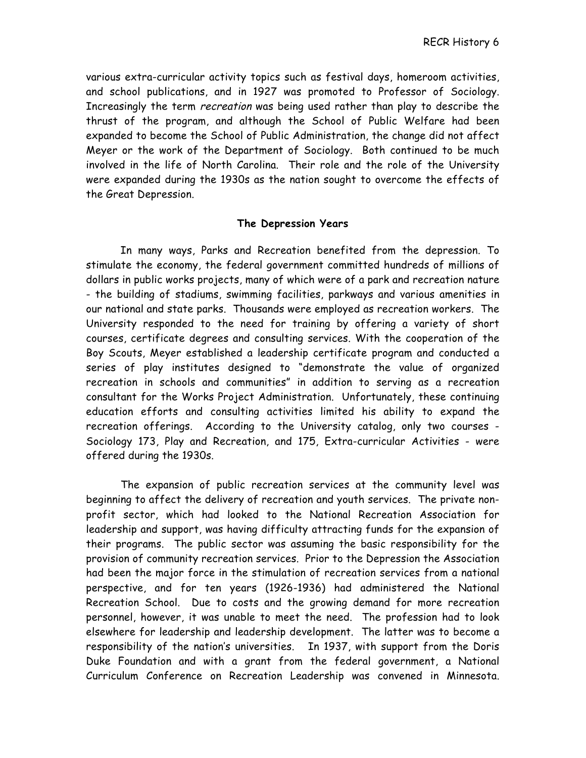various extra-curricular activity topics such as festival days, homeroom activities, and school publications, and in 1927 was promoted to Professor of Sociology. Increasingly the term recreation was being used rather than play to describe the thrust of the program, and although the School of Public Welfare had been expanded to become the School of Public Administration, the change did not affect Meyer or the work of the Department of Sociology. Both continued to be much involved in the life of North Carolina. Their role and the role of the University were expanded during the 1930s as the nation sought to overcome the effects of the Great Depression.

#### **The Depression Years**

In many ways, Parks and Recreation benefited from the depression. To stimulate the economy, the federal government committed hundreds of millions of dollars in public works projects, many of which were of a park and recreation nature - the building of stadiums, swimming facilities, parkways and various amenities in our national and state parks. Thousands were employed as recreation workers. The University responded to the need for training by offering a variety of short courses, certificate degrees and consulting services. With the cooperation of the Boy Scouts, Meyer established a leadership certificate program and conducted a series of play institutes designed to "demonstrate the value of organized recreation in schools and communities" in addition to serving as a recreation consultant for the Works Project Administration. Unfortunately, these continuing education efforts and consulting activities limited his ability to expand the recreation offerings. According to the University catalog, only two courses - Sociology 173, Play and Recreation, and 175, Extra-curricular Activities - were offered during the 1930s.

The expansion of public recreation services at the community level was beginning to affect the delivery of recreation and youth services. The private nonprofit sector, which had looked to the National Recreation Association for leadership and support, was having difficulty attracting funds for the expansion of their programs. The public sector was assuming the basic responsibility for the provision of community recreation services. Prior to the Depression the Association had been the major force in the stimulation of recreation services from a national perspective, and for ten years (1926-1936) had administered the National Recreation School. Due to costs and the growing demand for more recreation personnel, however, it was unable to meet the need. The profession had to look elsewhere for leadership and leadership development. The latter was to become a responsibility of the nation's universities. In 1937, with support from the Doris Duke Foundation and with a grant from the federal government, a National Curriculum Conference on Recreation Leadership was convened in Minnesota.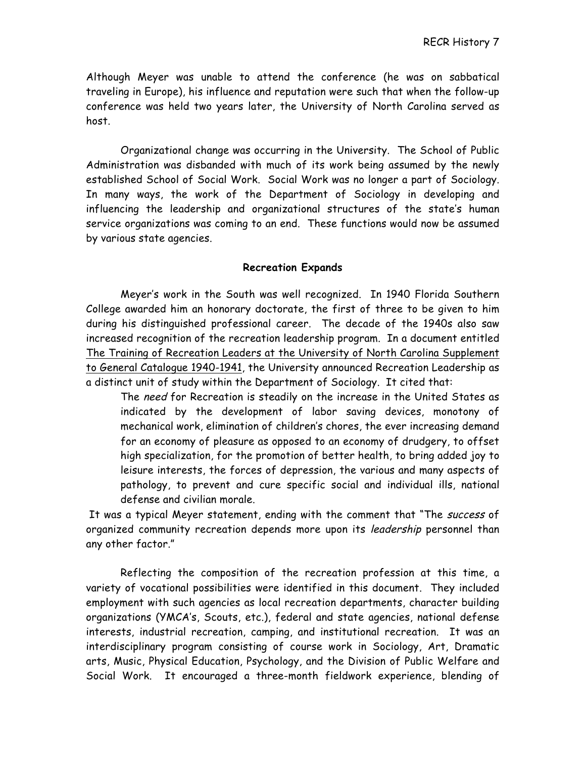Although Meyer was unable to attend the conference (he was on sabbatical traveling in Europe), his influence and reputation were such that when the follow-up conference was held two years later, the University of North Carolina served as host.

Organizational change was occurring in the University. The School of Public Administration was disbanded with much of its work being assumed by the newly established School of Social Work. Social Work was no longer a part of Sociology. In many ways, the work of the Department of Sociology in developing and influencing the leadership and organizational structures of the state's human service organizations was coming to an end. These functions would now be assumed by various state agencies.

## **Recreation Expands**

Meyer's work in the South was well recognized. In 1940 Florida Southern College awarded him an honorary doctorate, the first of three to be given to him during his distinguished professional career. The decade of the 1940s also saw increased recognition of the recreation leadership program. In a document entitled The Training of Recreation Leaders at the University of North Carolina Supplement to General Catalogue 1940-1941, the University announced Recreation Leadership as a distinct unit of study within the Department of Sociology. It cited that:

The need for Recreation is steadily on the increase in the United States as indicated by the development of labor saving devices, monotony of mechanical work, elimination of children's chores, the ever increasing demand for an economy of pleasure as opposed to an economy of drudgery, to offset high specialization, for the promotion of better health, to bring added joy to leisure interests, the forces of depression, the various and many aspects of pathology, to prevent and cure specific social and individual ills, national defense and civilian morale.

It was a typical Meyer statement, ending with the comment that "The success of organized community recreation depends more upon its leadership personnel than any other factor."

Reflecting the composition of the recreation profession at this time, a variety of vocational possibilities were identified in this document. They included employment with such agencies as local recreation departments, character building organizations (YMCA's, Scouts, etc.), federal and state agencies, national defense interests, industrial recreation, camping, and institutional recreation. It was an interdisciplinary program consisting of course work in Sociology, Art, Dramatic arts, Music, Physical Education, Psychology, and the Division of Public Welfare and Social Work. It encouraged a three-month fieldwork experience, blending of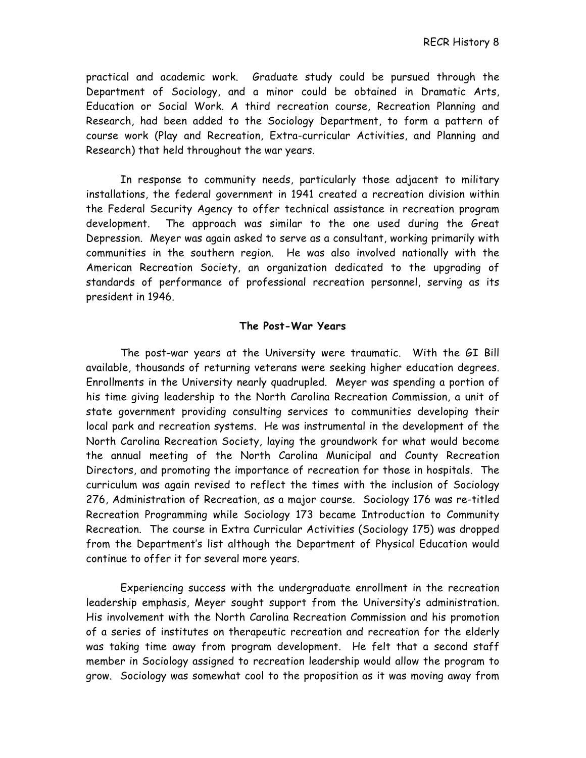RECR History 8

practical and academic work. Graduate study could be pursued through the Department of Sociology, and a minor could be obtained in Dramatic Arts, Education or Social Work. A third recreation course, Recreation Planning and Research, had been added to the Sociology Department, to form a pattern of course work (Play and Recreation, Extra-curricular Activities, and Planning and Research) that held throughout the war years.

In response to community needs, particularly those adjacent to military installations, the federal government in 1941 created a recreation division within the Federal Security Agency to offer technical assistance in recreation program development. The approach was similar to the one used during the Great Depression. Meyer was again asked to serve as a consultant, working primarily with communities in the southern region. He was also involved nationally with the American Recreation Society, an organization dedicated to the upgrading of standards of performance of professional recreation personnel, serving as its president in 1946.

#### **The Post-War Years**

The post-war years at the University were traumatic. With the GI Bill available, thousands of returning veterans were seeking higher education degrees. Enrollments in the University nearly quadrupled. Meyer was spending a portion of his time giving leadership to the North Carolina Recreation Commission, a unit of state government providing consulting services to communities developing their local park and recreation systems. He was instrumental in the development of the North Carolina Recreation Society, laying the groundwork for what would become the annual meeting of the North Carolina Municipal and County Recreation Directors, and promoting the importance of recreation for those in hospitals. The curriculum was again revised to reflect the times with the inclusion of Sociology 276, Administration of Recreation, as a major course. Sociology 176 was re-titled Recreation Programming while Sociology 173 became Introduction to Community Recreation. The course in Extra Curricular Activities (Sociology 175) was dropped from the Department's list although the Department of Physical Education would continue to offer it for several more years.

Experiencing success with the undergraduate enrollment in the recreation leadership emphasis, Meyer sought support from the University's administration. His involvement with the North Carolina Recreation Commission and his promotion of a series of institutes on therapeutic recreation and recreation for the elderly was taking time away from program development. He felt that a second staff member in Sociology assigned to recreation leadership would allow the program to grow. Sociology was somewhat cool to the proposition as it was moving away from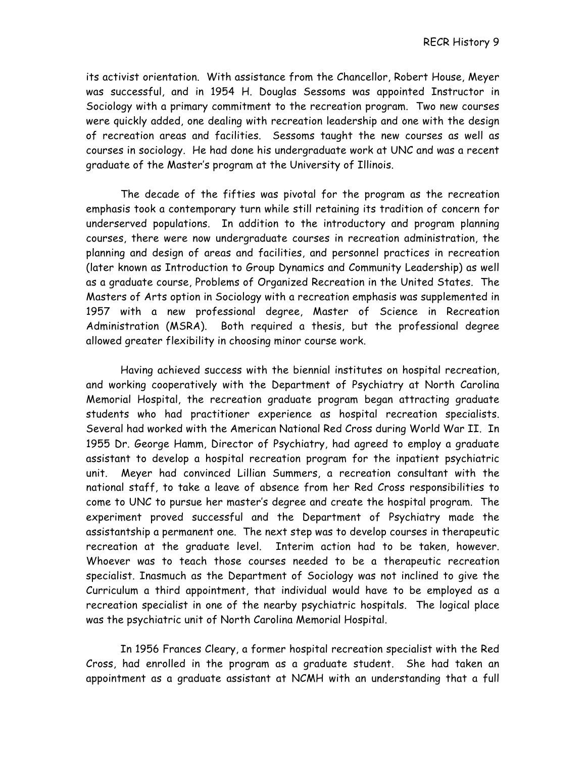its activist orientation. With assistance from the Chancellor, Robert House, Meyer was successful, and in 1954 H. Douglas Sessoms was appointed Instructor in Sociology with a primary commitment to the recreation program. Two new courses were quickly added, one dealing with recreation leadership and one with the design of recreation areas and facilities. Sessoms taught the new courses as well as courses in sociology. He had done his undergraduate work at UNC and was a recent graduate of the Master's program at the University of Illinois.

The decade of the fifties was pivotal for the program as the recreation emphasis took a contemporary turn while still retaining its tradition of concern for underserved populations. In addition to the introductory and program planning courses, there were now undergraduate courses in recreation administration, the planning and design of areas and facilities, and personnel practices in recreation (later known as Introduction to Group Dynamics and Community Leadership) as well as a graduate course, Problems of Organized Recreation in the United States. The Masters of Arts option in Sociology with a recreation emphasis was supplemented in 1957 with a new professional degree, Master of Science in Recreation Administration (MSRA). Both required a thesis, but the professional degree allowed greater flexibility in choosing minor course work.

Having achieved success with the biennial institutes on hospital recreation, and working cooperatively with the Department of Psychiatry at North Carolina Memorial Hospital, the recreation graduate program began attracting graduate students who had practitioner experience as hospital recreation specialists. Several had worked with the American National Red Cross during World War II. In 1955 Dr. George Hamm, Director of Psychiatry, had agreed to employ a graduate assistant to develop a hospital recreation program for the inpatient psychiatric unit. Meyer had convinced Lillian Summers, a recreation consultant with the national staff, to take a leave of absence from her Red Cross responsibilities to come to UNC to pursue her master's degree and create the hospital program. The experiment proved successful and the Department of Psychiatry made the assistantship a permanent one. The next step was to develop courses in therapeutic recreation at the graduate level. Interim action had to be taken, however. Whoever was to teach those courses needed to be a therapeutic recreation specialist. Inasmuch as the Department of Sociology was not inclined to give the Curriculum a third appointment, that individual would have to be employed as a recreation specialist in one of the nearby psychiatric hospitals. The logical place was the psychiatric unit of North Carolina Memorial Hospital.

In 1956 Frances Cleary, a former hospital recreation specialist with the Red Cross, had enrolled in the program as a graduate student. She had taken an appointment as a graduate assistant at NCMH with an understanding that a full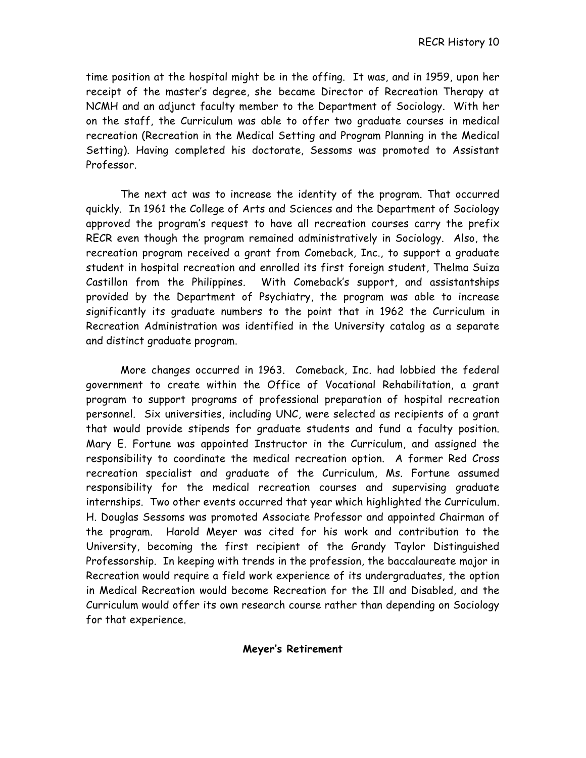time position at the hospital might be in the offing. It was, and in 1959, upon her receipt of the master's degree, she became Director of Recreation Therapy at NCMH and an adjunct faculty member to the Department of Sociology. With her on the staff, the Curriculum was able to offer two graduate courses in medical recreation (Recreation in the Medical Setting and Program Planning in the Medical Setting). Having completed his doctorate, Sessoms was promoted to Assistant Professor.

The next act was to increase the identity of the program. That occurred quickly. In 1961 the College of Arts and Sciences and the Department of Sociology approved the program's request to have all recreation courses carry the prefix RECR even though the program remained administratively in Sociology. Also, the recreation program received a grant from Comeback, Inc., to support a graduate student in hospital recreation and enrolled its first foreign student, Thelma Suiza Castillon from the Philippines. With Comeback's support, and assistantships provided by the Department of Psychiatry, the program was able to increase significantly its graduate numbers to the point that in 1962 the Curriculum in Recreation Administration was identified in the University catalog as a separate and distinct graduate program.

More changes occurred in 1963. Comeback, Inc. had lobbied the federal government to create within the Office of Vocational Rehabilitation, a grant program to support programs of professional preparation of hospital recreation personnel. Six universities, including UNC, were selected as recipients of a grant that would provide stipends for graduate students and fund a faculty position. Mary E. Fortune was appointed Instructor in the Curriculum, and assigned the responsibility to coordinate the medical recreation option. A former Red Cross recreation specialist and graduate of the Curriculum, Ms. Fortune assumed responsibility for the medical recreation courses and supervising graduate internships. Two other events occurred that year which highlighted the Curriculum. H. Douglas Sessoms was promoted Associate Professor and appointed Chairman of the program. Harold Meyer was cited for his work and contribution to the University, becoming the first recipient of the Grandy Taylor Distinguished Professorship. In keeping with trends in the profession, the baccalaureate major in Recreation would require a field work experience of its undergraduates, the option in Medical Recreation would become Recreation for the Ill and Disabled, and the Curriculum would offer its own research course rather than depending on Sociology for that experience.

#### **Meyer's Retirement**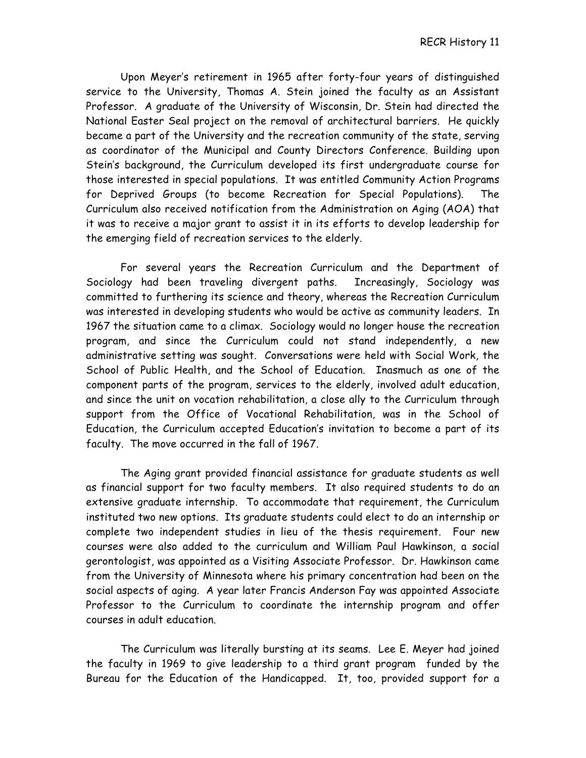RECR History 11

Upon Meyer's retirement in 1965 after forty-four years of distinguished service to the University, Thomas A. Stein joined the faculty as an Assistant Professor. A graduate of the University of Wisconsin, Dr. Stein had directed the National Easter Seal project on the removal of architectural barriers. He quickly became a part of the University and the recreation community of the state, serving as coordinator of the Municipal and County Directors Conference. Building upon Stein's background, the Curriculum developed its first undergraduate course for those interested in special populations. It was entitled Community Action Programs for Deprived Groups (to become Recreation for Special Populations). The Curriculum also received notification from the Administration on Aging (AOA) that it was to receive a major grant to assist it in its efforts to develop leadership for the emerging field of recreation services to the elderly.

For several years the Recreation Curriculum and the Department of Sociology had been traveling divergent paths. Increasingly, Sociology was committed to furthering its science and theory, whereas the Recreation Curriculum was interested in developing students who would be active as community leaders. In 1967 the situation came to a climax. Sociology would no longer house the recreation program, and since the Curriculum could not stand independently, a new administrative setting was sought. Conversations were held with Social Work, the School of Public Health, and the School of Education. Inasmuch as one of the component parts of the program, services to the elderly, involved adult education, and since the unit on vocation rehabilitation, a close ally to the Curriculum through support from the Office of Vocational Rehabilitation, was in the School of Education, the Curriculum accepted Education's invitation to become a part of its faculty. The move occurred in the fall of 1967.

The Aging grant provided financial assistance for graduate students as well as financial support for two faculty members. It also required students to do an extensive graduate internship. To accommodate that requirement, the Curriculum instituted two new options. Its graduate students could elect to do an internship or complete two independent studies in lieu of the thesis requirement. Four new courses were also added to the curriculum and William Paul Hawkinson, a social gerontologist, was appointed as a Visiting Associate Professor. Dr. Hawkinson came from the University of Minnesota where his primary concentration had been on the social aspects of aging. A year later Francis Anderson Fay was appointed Associate Professor to the Curriculum to coordinate the internship program and offer courses in adult education.

The Curriculum was literally bursting at its seams. Lee E. Meyer had joined the faculty in 1969 to give leadership to a third grant program funded by the Bureau for the Education of the Handicapped. It, too, provided support for a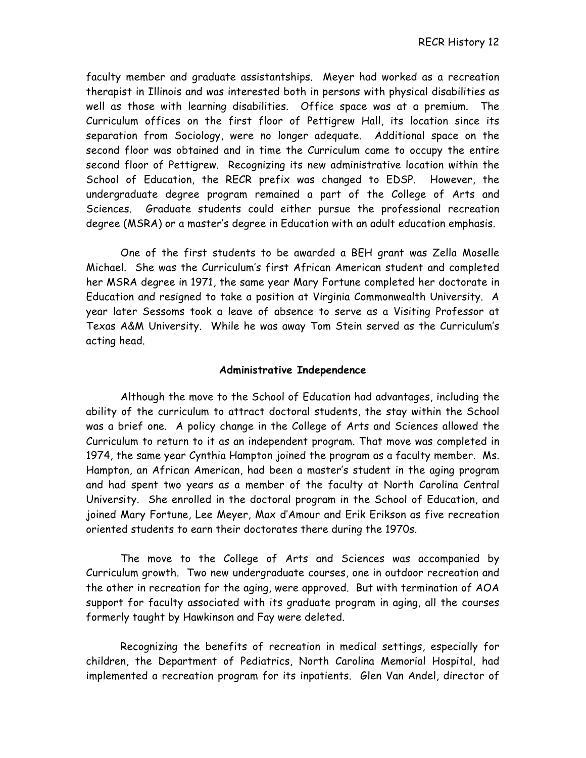faculty member and graduate assistantships. Meyer had worked as a recreation therapist in Illinois and was interested both in persons with physical disabilities as well as those with learning disabilities. Office space was at a premium. The Curriculum offices on the first floor of Pettigrew Hall, its location since its separation from Sociology, were no longer adequate. Additional space on the second floor was obtained and in time the Curriculum came to occupy the entire second floor of Pettigrew. Recognizing its new administrative location within the School of Education, the RECR prefix was changed to EDSP. However, the undergraduate degree program remained a part of the College of Arts and Sciences. Graduate students could either pursue the professional recreation degree (MSRA) or a master's degree in Education with an adult education emphasis.

One of the first students to be awarded a BEH grant was Zella Moselle Michael. She was the Curriculum's first African American student and completed her MSRA degree in 1971, the same year Mary Fortune completed her doctorate in Education and resigned to take a position at Virginia Commonwealth University. A year later Sessoms took a leave of absence to serve as a Visiting Professor at Texas A&M University. While he was away Tom Stein served as the Curriculum's acting head.

#### **Administrative Independence**

Although the move to the School of Education had advantages, including the ability of the curriculum to attract doctoral students, the stay within the School was a brief one. A policy change in the College of Arts and Sciences allowed the Curriculum to return to it as an independent program. That move was completed in 1974, the same year Cynthia Hampton joined the program as a faculty member. Ms. Hampton, an African American, had been a master's student in the aging program and had spent two years as a member of the faculty at North Carolina Central University. She enrolled in the doctoral program in the School of Education, and joined Mary Fortune, Lee Meyer, Max d'Amour and Erik Erikson as five recreation oriented students to earn their doctorates there during the 1970s.

The move to the College of Arts and Sciences was accompanied by Curriculum growth. Two new undergraduate courses, one in outdoor recreation and the other in recreation for the aging, were approved. But with termination of AOA support for faculty associated with its graduate program in aging, all the courses formerly taught by Hawkinson and Fay were deleted.

Recognizing the benefits of recreation in medical settings, especially for children, the Department of Pediatrics, North Carolina Memorial Hospital, had implemented a recreation program for its inpatients. Glen Van Andel, director of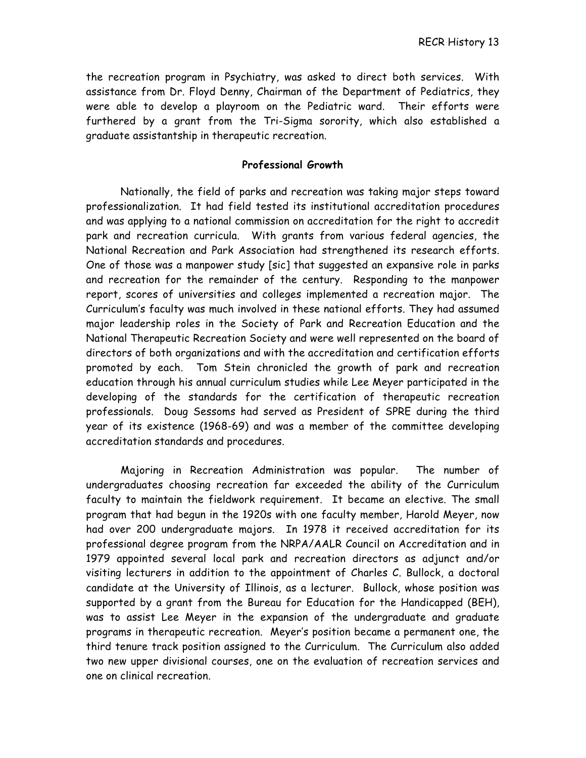the recreation program in Psychiatry, was asked to direct both services. With assistance from Dr. Floyd Denny, Chairman of the Department of Pediatrics, they were able to develop a playroom on the Pediatric ward. Their efforts were furthered by a grant from the Tri-Sigma sorority, which also established a graduate assistantship in therapeutic recreation.

## **Professional Growth**

Nationally, the field of parks and recreation was taking major steps toward professionalization. It had field tested its institutional accreditation procedures and was applying to a national commission on accreditation for the right to accredit park and recreation curricula. With grants from various federal agencies, the National Recreation and Park Association had strengthened its research efforts. One of those was a manpower study [sic] that suggested an expansive role in parks and recreation for the remainder of the century. Responding to the manpower report, scores of universities and colleges implemented a recreation major. The Curriculum's faculty was much involved in these national efforts. They had assumed major leadership roles in the Society of Park and Recreation Education and the National Therapeutic Recreation Society and were well represented on the board of directors of both organizations and with the accreditation and certification efforts promoted by each. Tom Stein chronicled the growth of park and recreation education through his annual curriculum studies while Lee Meyer participated in the developing of the standards for the certification of therapeutic recreation professionals. Doug Sessoms had served as President of SPRE during the third year of its existence (1968-69) and was a member of the committee developing accreditation standards and procedures.

Majoring in Recreation Administration was popular. The number of undergraduates choosing recreation far exceeded the ability of the Curriculum faculty to maintain the fieldwork requirement. It became an elective. The small program that had begun in the 1920s with one faculty member, Harold Meyer, now had over 200 undergraduate majors. In 1978 it received accreditation for its professional degree program from the NRPA/AALR Council on Accreditation and in 1979 appointed several local park and recreation directors as adjunct and/or visiting lecturers in addition to the appointment of Charles C. Bullock, a doctoral candidate at the University of Illinois, as a lecturer. Bullock, whose position was supported by a grant from the Bureau for Education for the Handicapped (BEH), was to assist Lee Meyer in the expansion of the undergraduate and graduate programs in therapeutic recreation. Meyer's position became a permanent one, the third tenure track position assigned to the Curriculum. The Curriculum also added two new upper divisional courses, one on the evaluation of recreation services and one on clinical recreation.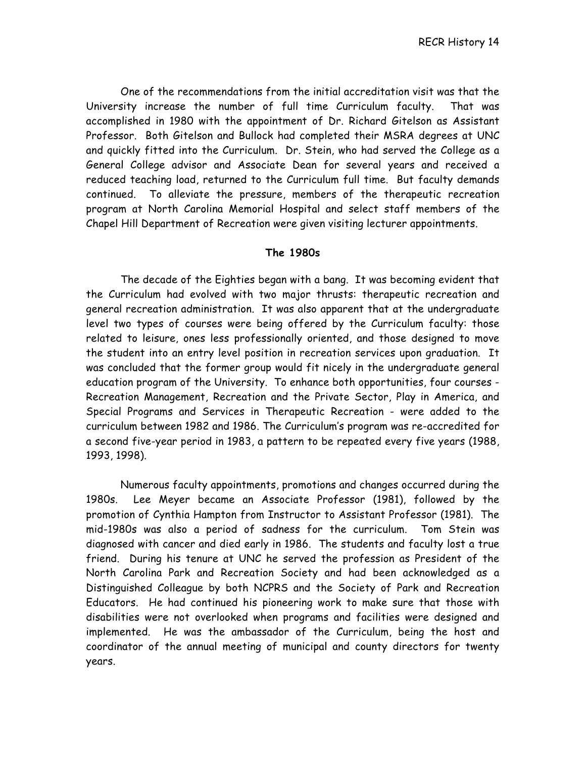One of the recommendations from the initial accreditation visit was that the University increase the number of full time Curriculum faculty. That was accomplished in 1980 with the appointment of Dr. Richard Gitelson as Assistant Professor. Both Gitelson and Bullock had completed their MSRA degrees at UNC and quickly fitted into the Curriculum. Dr. Stein, who had served the College as a General College advisor and Associate Dean for several years and received a reduced teaching load, returned to the Curriculum full time. But faculty demands continued. To alleviate the pressure, members of the therapeutic recreation program at North Carolina Memorial Hospital and select staff members of the Chapel Hill Department of Recreation were given visiting lecturer appointments.

#### **The 1980s**

The decade of the Eighties began with a bang. It was becoming evident that the Curriculum had evolved with two major thrusts: therapeutic recreation and general recreation administration. It was also apparent that at the undergraduate level two types of courses were being offered by the Curriculum faculty: those related to leisure, ones less professionally oriented, and those designed to move the student into an entry level position in recreation services upon graduation. It was concluded that the former group would fit nicely in the undergraduate general education program of the University. To enhance both opportunities, four courses - Recreation Management, Recreation and the Private Sector, Play in America, and Special Programs and Services in Therapeutic Recreation - were added to the curriculum between 1982 and 1986. The Curriculum's program was re-accredited for a second five-year period in 1983, a pattern to be repeated every five years (1988, 1993, 1998).

Numerous faculty appointments, promotions and changes occurred during the 1980s. Lee Meyer became an Associate Professor (1981), followed by the promotion of Cynthia Hampton from Instructor to Assistant Professor (1981). The mid-1980s was also a period of sadness for the curriculum. Tom Stein was diagnosed with cancer and died early in 1986. The students and faculty lost a true friend. During his tenure at UNC he served the profession as President of the North Carolina Park and Recreation Society and had been acknowledged as a Distinguished Colleague by both NCPRS and the Society of Park and Recreation Educators. He had continued his pioneering work to make sure that those with disabilities were not overlooked when programs and facilities were designed and implemented. He was the ambassador of the Curriculum, being the host and coordinator of the annual meeting of municipal and county directors for twenty years.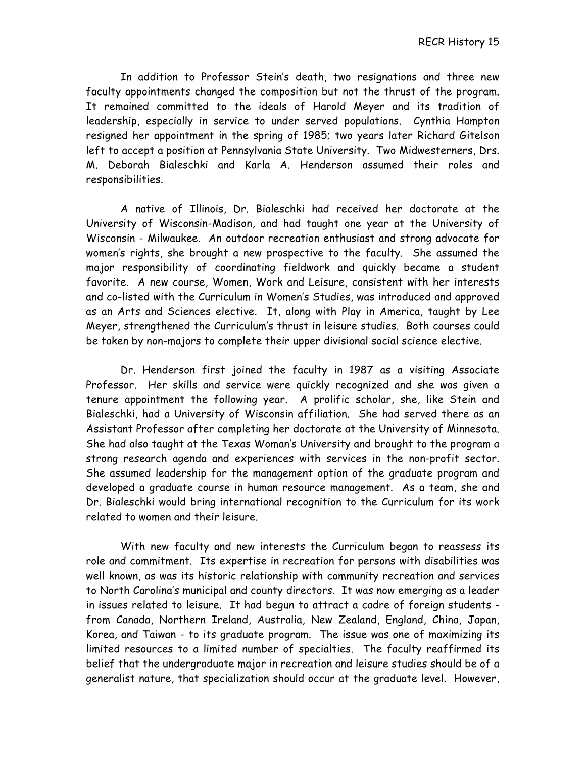In addition to Professor Stein's death, two resignations and three new faculty appointments changed the composition but not the thrust of the program. It remained committed to the ideals of Harold Meyer and its tradition of leadership, especially in service to under served populations. Cynthia Hampton resigned her appointment in the spring of 1985; two years later Richard Gitelson left to accept a position at Pennsylvania State University. Two Midwesterners, Drs. M. Deborah Bialeschki and Karla A. Henderson assumed their roles and responsibilities.

A native of Illinois, Dr. Bialeschki had received her doctorate at the University of Wisconsin-Madison, and had taught one year at the University of Wisconsin - Milwaukee. An outdoor recreation enthusiast and strong advocate for women's rights, she brought a new prospective to the faculty. She assumed the major responsibility of coordinating fieldwork and quickly became a student favorite. A new course, Women, Work and Leisure, consistent with her interests and co-listed with the Curriculum in Women's Studies, was introduced and approved as an Arts and Sciences elective. It, along with Play in America, taught by Lee Meyer, strengthened the Curriculum's thrust in leisure studies. Both courses could be taken by non-majors to complete their upper divisional social science elective.

Dr. Henderson first joined the faculty in 1987 as a visiting Associate Professor. Her skills and service were quickly recognized and she was given a tenure appointment the following year. A prolific scholar, she, like Stein and Bialeschki, had a University of Wisconsin affiliation. She had served there as an Assistant Professor after completing her doctorate at the University of Minnesota. She had also taught at the Texas Woman's University and brought to the program a strong research agenda and experiences with services in the non-profit sector. She assumed leadership for the management option of the graduate program and developed a graduate course in human resource management. As a team, she and Dr. Bialeschki would bring international recognition to the Curriculum for its work related to women and their leisure.

With new faculty and new interests the Curriculum began to reassess its role and commitment. Its expertise in recreation for persons with disabilities was well known, as was its historic relationship with community recreation and services to North Carolina's municipal and county directors. It was now emerging as a leader in issues related to leisure. It had begun to attract a cadre of foreign students from Canada, Northern Ireland, Australia, New Zealand, England, China, Japan, Korea, and Taiwan - to its graduate program. The issue was one of maximizing its limited resources to a limited number of specialties. The faculty reaffirmed its belief that the undergraduate major in recreation and leisure studies should be of a generalist nature, that specialization should occur at the graduate level. However,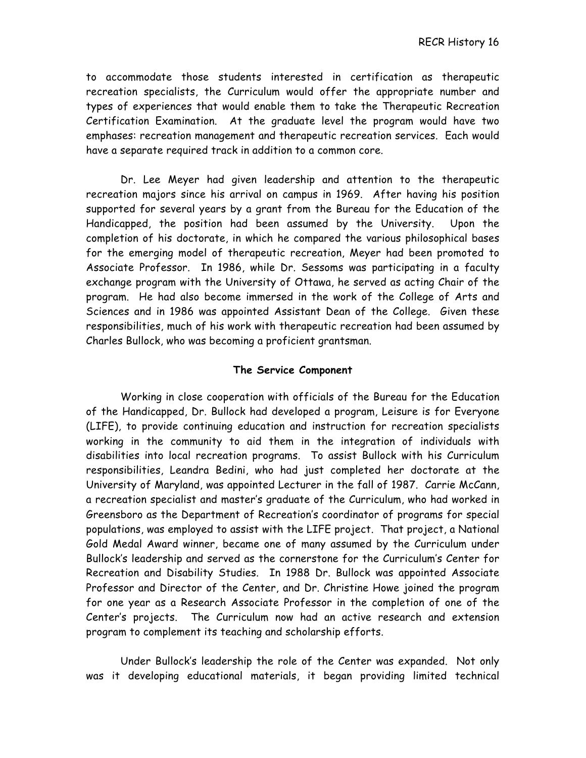RECR History 16

to accommodate those students interested in certification as therapeutic recreation specialists, the Curriculum would offer the appropriate number and types of experiences that would enable them to take the Therapeutic Recreation Certification Examination. At the graduate level the program would have two emphases: recreation management and therapeutic recreation services. Each would have a separate required track in addition to a common core.

Dr. Lee Meyer had given leadership and attention to the therapeutic recreation majors since his arrival on campus in 1969. After having his position supported for several years by a grant from the Bureau for the Education of the Handicapped, the position had been assumed by the University. Upon the completion of his doctorate, in which he compared the various philosophical bases for the emerging model of therapeutic recreation, Meyer had been promoted to Associate Professor. In 1986, while Dr. Sessoms was participating in a faculty exchange program with the University of Ottawa, he served as acting Chair of the program. He had also become immersed in the work of the College of Arts and Sciences and in 1986 was appointed Assistant Dean of the College. Given these responsibilities, much of his work with therapeutic recreation had been assumed by Charles Bullock, who was becoming a proficient grantsman.

#### **The Service Component**

Working in close cooperation with officials of the Bureau for the Education of the Handicapped, Dr. Bullock had developed a program, Leisure is for Everyone (LIFE), to provide continuing education and instruction for recreation specialists working in the community to aid them in the integration of individuals with disabilities into local recreation programs. To assist Bullock with his Curriculum responsibilities, Leandra Bedini, who had just completed her doctorate at the University of Maryland, was appointed Lecturer in the fall of 1987. Carrie McCann, a recreation specialist and master's graduate of the Curriculum, who had worked in Greensboro as the Department of Recreation's coordinator of programs for special populations, was employed to assist with the LIFE project. That project, a National Gold Medal Award winner, became one of many assumed by the Curriculum under Bullock's leadership and served as the cornerstone for the Curriculum's Center for Recreation and Disability Studies. In 1988 Dr. Bullock was appointed Associate Professor and Director of the Center, and Dr. Christine Howe joined the program for one year as a Research Associate Professor in the completion of one of the Center's projects. The Curriculum now had an active research and extension program to complement its teaching and scholarship efforts.

Under Bullock's leadership the role of the Center was expanded. Not only was it developing educational materials, it began providing limited technical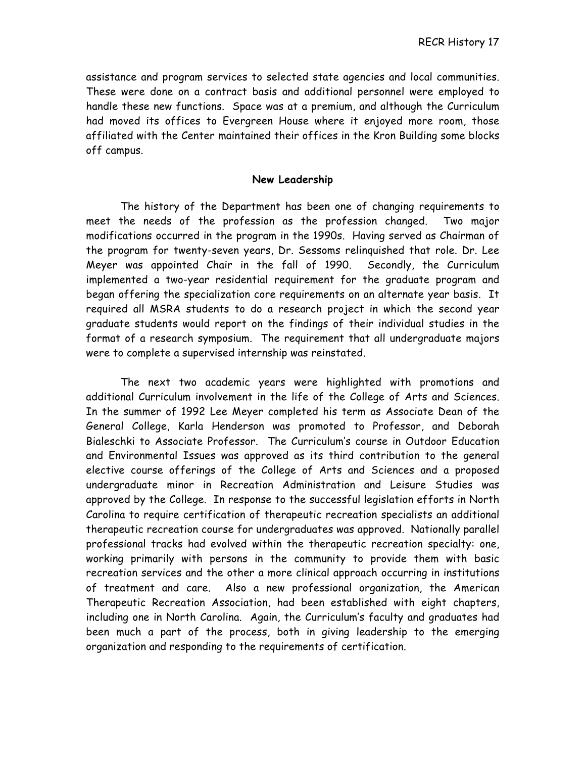assistance and program services to selected state agencies and local communities. These were done on a contract basis and additional personnel were employed to handle these new functions. Space was at a premium, and although the Curriculum had moved its offices to Evergreen House where it enjoyed more room, those affiliated with the Center maintained their offices in the Kron Building some blocks off campus.

#### **New Leadership**

The history of the Department has been one of changing requirements to meet the needs of the profession as the profession changed. Two major modifications occurred in the program in the 1990s. Having served as Chairman of the program for twenty-seven years, Dr. Sessoms relinquished that role. Dr. Lee Meyer was appointed Chair in the fall of 1990. Secondly, the Curriculum implemented a two-year residential requirement for the graduate program and began offering the specialization core requirements on an alternate year basis. It required all MSRA students to do a research project in which the second year graduate students would report on the findings of their individual studies in the format of a research symposium. The requirement that all undergraduate majors were to complete a supervised internship was reinstated.

The next two academic years were highlighted with promotions and additional Curriculum involvement in the life of the College of Arts and Sciences. In the summer of 1992 Lee Meyer completed his term as Associate Dean of the General College, Karla Henderson was promoted to Professor, and Deborah Bialeschki to Associate Professor. The Curriculum's course in Outdoor Education and Environmental Issues was approved as its third contribution to the general elective course offerings of the College of Arts and Sciences and a proposed undergraduate minor in Recreation Administration and Leisure Studies was approved by the College. In response to the successful legislation efforts in North Carolina to require certification of therapeutic recreation specialists an additional therapeutic recreation course for undergraduates was approved. Nationally parallel professional tracks had evolved within the therapeutic recreation specialty: one, working primarily with persons in the community to provide them with basic recreation services and the other a more clinical approach occurring in institutions of treatment and care. Also a new professional organization, the American Therapeutic Recreation Association, had been established with eight chapters, including one in North Carolina. Again, the Curriculum's faculty and graduates had been much a part of the process, both in giving leadership to the emerging organization and responding to the requirements of certification.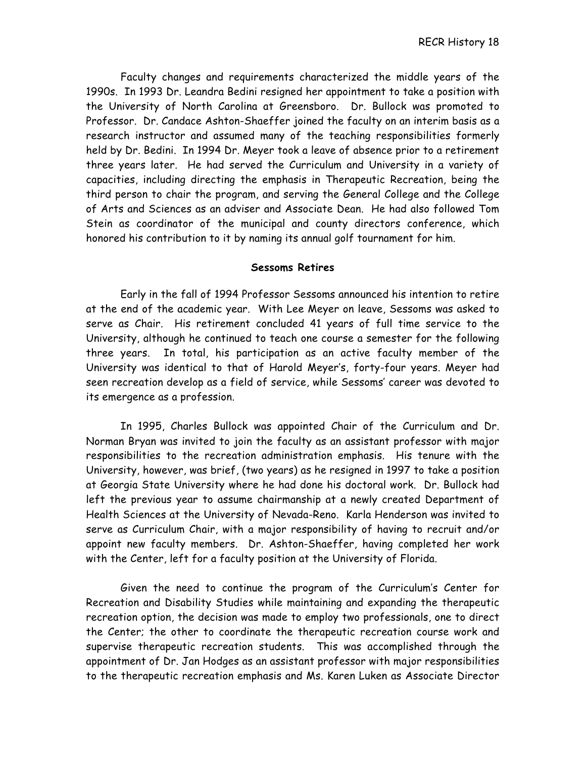Faculty changes and requirements characterized the middle years of the 1990s. In 1993 Dr. Leandra Bedini resigned her appointment to take a position with the University of North Carolina at Greensboro. Dr. Bullock was promoted to Professor. Dr. Candace Ashton-Shaeffer joined the faculty on an interim basis as a research instructor and assumed many of the teaching responsibilities formerly held by Dr. Bedini. In 1994 Dr. Meyer took a leave of absence prior to a retirement three years later. He had served the Curriculum and University in a variety of capacities, including directing the emphasis in Therapeutic Recreation, being the third person to chair the program, and serving the General College and the College of Arts and Sciences as an adviser and Associate Dean. He had also followed Tom Stein as coordinator of the municipal and county directors conference, which honored his contribution to it by naming its annual golf tournament for him.

#### **Sessoms Retires**

Early in the fall of 1994 Professor Sessoms announced his intention to retire at the end of the academic year. With Lee Meyer on leave, Sessoms was asked to serve as Chair. His retirement concluded 41 years of full time service to the University, although he continued to teach one course a semester for the following three years. In total, his participation as an active faculty member of the University was identical to that of Harold Meyer's, forty-four years. Meyer had seen recreation develop as a field of service, while Sessoms' career was devoted to its emergence as a profession.

In 1995, Charles Bullock was appointed Chair of the Curriculum and Dr. Norman Bryan was invited to join the faculty as an assistant professor with major responsibilities to the recreation administration emphasis. His tenure with the University, however, was brief, (two years) as he resigned in 1997 to take a position at Georgia State University where he had done his doctoral work. Dr. Bullock had left the previous year to assume chairmanship at a newly created Department of Health Sciences at the University of Nevada-Reno. Karla Henderson was invited to serve as Curriculum Chair, with a major responsibility of having to recruit and/or appoint new faculty members. Dr. Ashton-Shaeffer, having completed her work with the Center, left for a faculty position at the University of Florida.

Given the need to continue the program of the Curriculum's Center for Recreation and Disability Studies while maintaining and expanding the therapeutic recreation option, the decision was made to employ two professionals, one to direct the Center; the other to coordinate the therapeutic recreation course work and supervise therapeutic recreation students. This was accomplished through the appointment of Dr. Jan Hodges as an assistant professor with major responsibilities to the therapeutic recreation emphasis and Ms. Karen Luken as Associate Director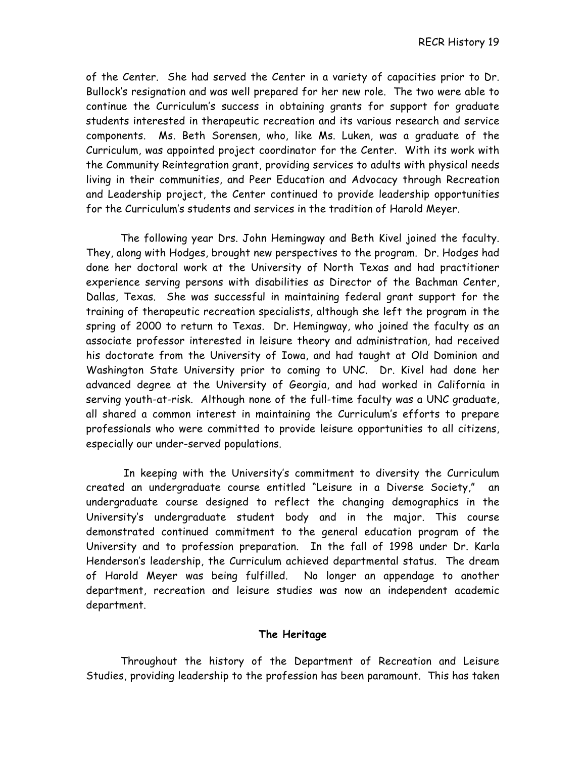RECR History 19

of the Center. She had served the Center in a variety of capacities prior to Dr. Bullock's resignation and was well prepared for her new role. The two were able to continue the Curriculum's success in obtaining grants for support for graduate students interested in therapeutic recreation and its various research and service components. Ms. Beth Sorensen, who, like Ms. Luken, was a graduate of the Curriculum, was appointed project coordinator for the Center. With its work with the Community Reintegration grant, providing services to adults with physical needs living in their communities, and Peer Education and Advocacy through Recreation and Leadership project, the Center continued to provide leadership opportunities for the Curriculum's students and services in the tradition of Harold Meyer.

The following year Drs. John Hemingway and Beth Kivel joined the faculty. They, along with Hodges, brought new perspectives to the program. Dr. Hodges had done her doctoral work at the University of North Texas and had practitioner experience serving persons with disabilities as Director of the Bachman Center, Dallas, Texas. She was successful in maintaining federal grant support for the training of therapeutic recreation specialists, although she left the program in the spring of 2000 to return to Texas. Dr. Hemingway, who joined the faculty as an associate professor interested in leisure theory and administration, had received his doctorate from the University of Iowa, and had taught at Old Dominion and Washington State University prior to coming to UNC. Dr. Kivel had done her advanced degree at the University of Georgia, and had worked in California in serving youth-at-risk. Although none of the full-time faculty was a UNC graduate, all shared a common interest in maintaining the Curriculum's efforts to prepare professionals who were committed to provide leisure opportunities to all citizens, especially our under-served populations.

In keeping with the University's commitment to diversity the Curriculum created an undergraduate course entitled "Leisure in a Diverse Society," an undergraduate course designed to reflect the changing demographics in the University's undergraduate student body and in the major. This course demonstrated continued commitment to the general education program of the University and to profession preparation. In the fall of 1998 under Dr. Karla Henderson's leadership, the Curriculum achieved departmental status. The dream of Harold Meyer was being fulfilled. No longer an appendage to another department, recreation and leisure studies was now an independent academic department.

#### **The Heritage**

Throughout the history of the Department of Recreation and Leisure Studies, providing leadership to the profession has been paramount. This has taken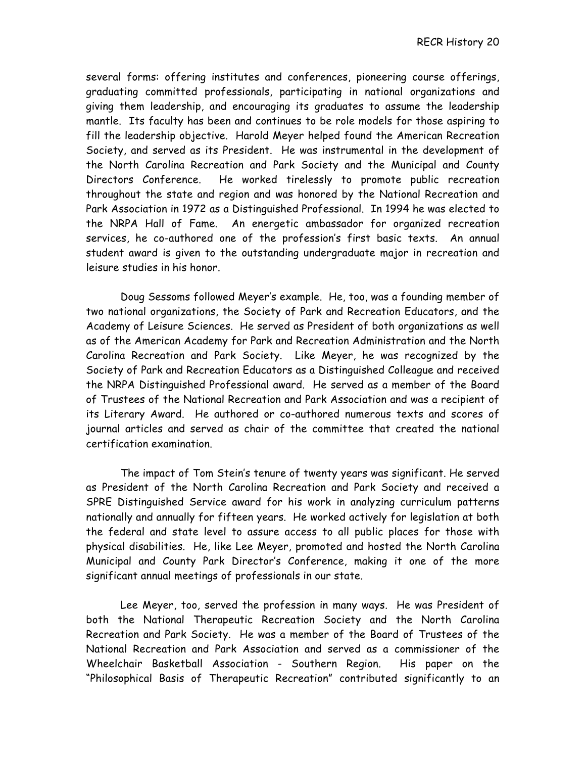RECR History 20

several forms: offering institutes and conferences, pioneering course offerings, graduating committed professionals, participating in national organizations and giving them leadership, and encouraging its graduates to assume the leadership mantle. Its faculty has been and continues to be role models for those aspiring to fill the leadership objective. Harold Meyer helped found the American Recreation Society, and served as its President. He was instrumental in the development of the North Carolina Recreation and Park Society and the Municipal and County Directors Conference. He worked tirelessly to promote public recreation throughout the state and region and was honored by the National Recreation and Park Association in 1972 as a Distinguished Professional. In 1994 he was elected to the NRPA Hall of Fame. An energetic ambassador for organized recreation services, he co-authored one of the profession's first basic texts. An annual student award is given to the outstanding undergraduate major in recreation and leisure studies in his honor.

Doug Sessoms followed Meyer's example. He, too, was a founding member of two national organizations, the Society of Park and Recreation Educators, and the Academy of Leisure Sciences. He served as President of both organizations as well as of the American Academy for Park and Recreation Administration and the North Carolina Recreation and Park Society. Like Meyer, he was recognized by the Society of Park and Recreation Educators as a Distinguished Colleague and received the NRPA Distinguished Professional award. He served as a member of the Board of Trustees of the National Recreation and Park Association and was a recipient of its Literary Award. He authored or co-authored numerous texts and scores of journal articles and served as chair of the committee that created the national certification examination.

The impact of Tom Stein's tenure of twenty years was significant. He served as President of the North Carolina Recreation and Park Society and received a SPRE Distinguished Service award for his work in analyzing curriculum patterns nationally and annually for fifteen years. He worked actively for legislation at both the federal and state level to assure access to all public places for those with physical disabilities. He, like Lee Meyer, promoted and hosted the North Carolina Municipal and County Park Director's Conference, making it one of the more significant annual meetings of professionals in our state.

Lee Meyer, too, served the profession in many ways. He was President of both the National Therapeutic Recreation Society and the North Carolina Recreation and Park Society. He was a member of the Board of Trustees of the National Recreation and Park Association and served as a commissioner of the Wheelchair Basketball Association - Southern Region. His paper on the "Philosophical Basis of Therapeutic Recreation" contributed significantly to an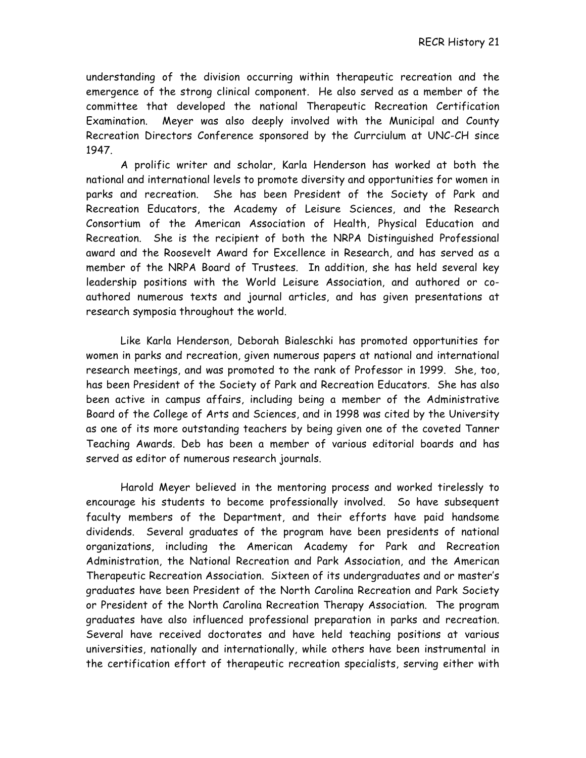understanding of the division occurring within therapeutic recreation and the emergence of the strong clinical component. He also served as a member of the committee that developed the national Therapeutic Recreation Certification Examination. Meyer was also deeply involved with the Municipal and County Recreation Directors Conference sponsored by the Currciulum at UNC-CH since 1947.

A prolific writer and scholar, Karla Henderson has worked at both the national and international levels to promote diversity and opportunities for women in parks and recreation. She has been President of the Society of Park and Recreation Educators, the Academy of Leisure Sciences, and the Research Consortium of the American Association of Health, Physical Education and Recreation. She is the recipient of both the NRPA Distinguished Professional award and the Roosevelt Award for Excellence in Research, and has served as a member of the NRPA Board of Trustees. In addition, she has held several key leadership positions with the World Leisure Association, and authored or coauthored numerous texts and journal articles, and has given presentations at research symposia throughout the world.

Like Karla Henderson, Deborah Bialeschki has promoted opportunities for women in parks and recreation, given numerous papers at national and international research meetings, and was promoted to the rank of Professor in 1999. She, too, has been President of the Society of Park and Recreation Educators. She has also been active in campus affairs, including being a member of the Administrative Board of the College of Arts and Sciences, and in 1998 was cited by the University as one of its more outstanding teachers by being given one of the coveted Tanner Teaching Awards. Deb has been a member of various editorial boards and has served as editor of numerous research journals.

Harold Meyer believed in the mentoring process and worked tirelessly to encourage his students to become professionally involved. So have subsequent faculty members of the Department, and their efforts have paid handsome dividends. Several graduates of the program have been presidents of national organizations, including the American Academy for Park and Recreation Administration, the National Recreation and Park Association, and the American Therapeutic Recreation Association. Sixteen of its undergraduates and or master's graduates have been President of the North Carolina Recreation and Park Society or President of the North Carolina Recreation Therapy Association. The program graduates have also influenced professional preparation in parks and recreation. Several have received doctorates and have held teaching positions at various universities, nationally and internationally, while others have been instrumental in the certification effort of therapeutic recreation specialists, serving either with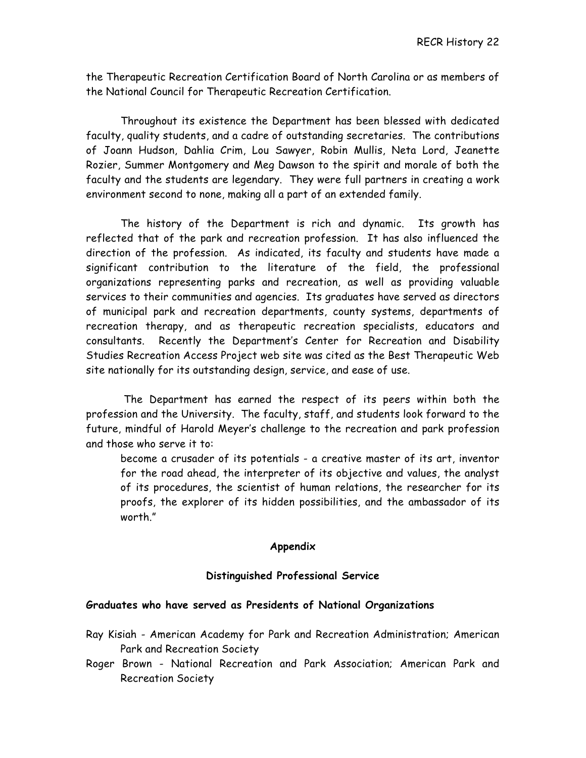the Therapeutic Recreation Certification Board of North Carolina or as members of the National Council for Therapeutic Recreation Certification.

Throughout its existence the Department has been blessed with dedicated faculty, quality students, and a cadre of outstanding secretaries. The contributions of Joann Hudson, Dahlia Crim, Lou Sawyer, Robin Mullis, Neta Lord, Jeanette Rozier, Summer Montgomery and Meg Dawson to the spirit and morale of both the faculty and the students are legendary. They were full partners in creating a work environment second to none, making all a part of an extended family.

The history of the Department is rich and dynamic. Its growth has reflected that of the park and recreation profession. It has also influenced the direction of the profession. As indicated, its faculty and students have made a significant contribution to the literature of the field, the professional organizations representing parks and recreation, as well as providing valuable services to their communities and agencies. Its graduates have served as directors of municipal park and recreation departments, county systems, departments of recreation therapy, and as therapeutic recreation specialists, educators and consultants. Recently the Department's Center for Recreation and Disability Studies Recreation Access Project web site was cited as the Best Therapeutic Web site nationally for its outstanding design, service, and ease of use.

The Department has earned the respect of its peers within both the profession and the University. The faculty, staff, and students look forward to the future, mindful of Harold Meyer's challenge to the recreation and park profession and those who serve it to:

become a crusader of its potentials - a creative master of its art, inventor for the road ahead, the interpreter of its objective and values, the analyst of its procedures, the scientist of human relations, the researcher for its proofs, the explorer of its hidden possibilities, and the ambassador of its worth."

#### **Appendix**

#### **Distinguished Professional Service**

#### **Graduates who have served as Presidents of National Organizations**

- Ray Kisiah American Academy for Park and Recreation Administration; American Park and Recreation Society
- Roger Brown National Recreation and Park Association; American Park and Recreation Society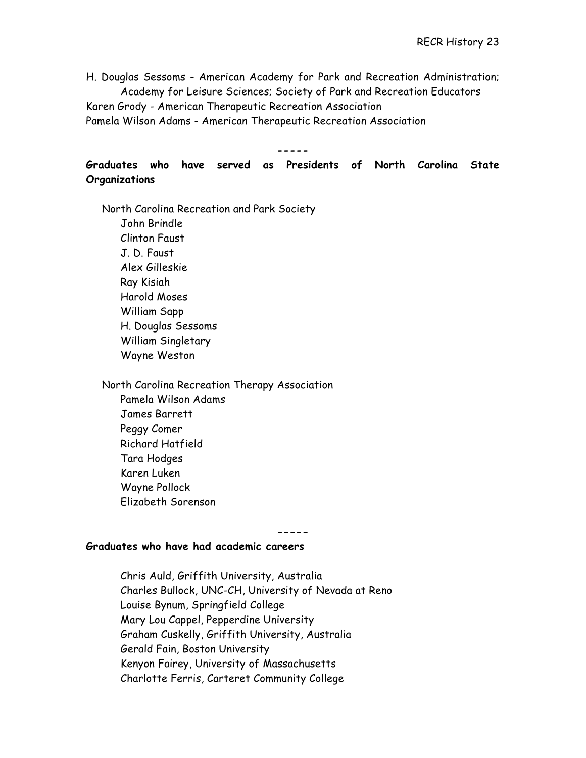H. Douglas Sessoms - American Academy for Park and Recreation Administration; Academy for Leisure Sciences; Society of Park and Recreation Educators Karen Grody - American Therapeutic Recreation Association

Pamela Wilson Adams - American Therapeutic Recreation Association

#### **-----**

# **Graduates who have served as Presidents of North Carolina State Organizations**

 North Carolina Recreation and Park Society John Brindle Clinton Faust J. D. Faust Alex Gilleskie Ray Kisiah Harold Moses William Sapp H. Douglas Sessoms William Singletary Wayne Weston

 North Carolina Recreation Therapy Association Pamela Wilson Adams James Barrett Peggy Comer Richard Hatfield Tara Hodges Karen Luken Wayne Pollock Elizabeth Sorenson

#### **-----**

#### **Graduates who have had academic careers**

Chris Auld, Griffith University, Australia Charles Bullock, UNC-CH, University of Nevada at Reno Louise Bynum, Springfield College Mary Lou Cappel, Pepperdine University Graham Cuskelly, Griffith University, Australia Gerald Fain, Boston University Kenyon Fairey, University of Massachusetts Charlotte Ferris, Carteret Community College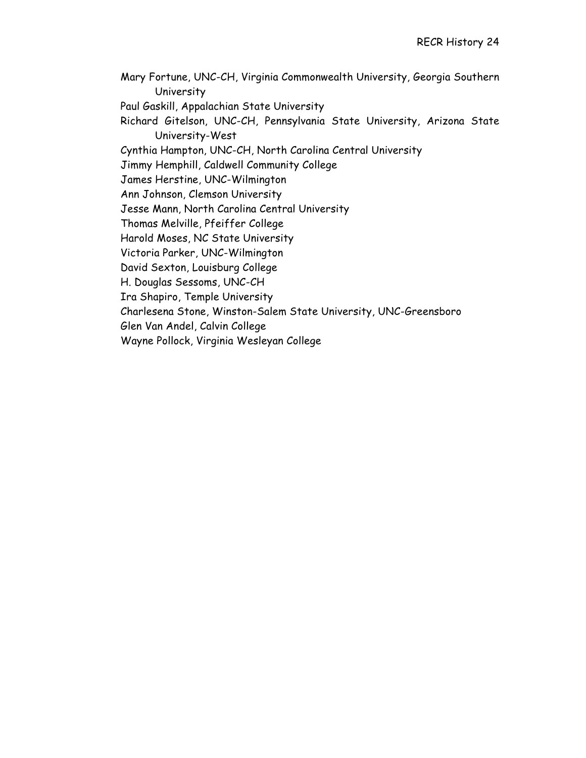Mary Fortune, UNC-CH, Virginia Commonwealth University, Georgia Southern University Paul Gaskill, Appalachian State University Richard Gitelson, UNC-CH, Pennsylvania State University, Arizona State University-West Cynthia Hampton, UNC-CH, North Carolina Central University Jimmy Hemphill, Caldwell Community College James Herstine, UNC-Wilmington Ann Johnson, Clemson University Jesse Mann, North Carolina Central University Thomas Melville, Pfeiffer College Harold Moses, NC State University Victoria Parker, UNC-Wilmington David Sexton, Louisburg College H. Douglas Sessoms, UNC-CH Ira Shapiro, Temple University Charlesena Stone, Winston-Salem State University, UNC-Greensboro Glen Van Andel, Calvin College Wayne Pollock, Virginia Wesleyan College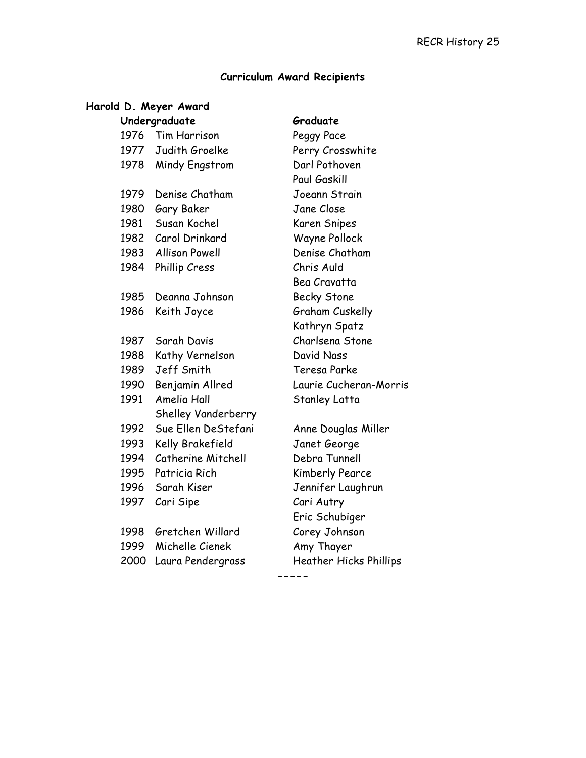# **Curriculum Award Recipients**

| Harold D. Meyer Award |                       |                        |
|-----------------------|-----------------------|------------------------|
| Undergraduate         |                       | Graduate               |
|                       | 1976 Tim Harrison     | Peggy Pace             |
| 1977                  | Judith Groelke        | Perry Crosswhite       |
|                       | 1978 Mindy Engstrom   | Darl Pothoven          |
|                       |                       | Paul Gaskill           |
| 1979                  | Denise Chatham        | Joeann Strain          |
| 1980                  | Gary Baker            | Jane Close             |
| 1981                  | Susan Kochel          | Karen Snipes           |
| 1982                  | Carol Drinkard        | Wayne Pollock          |
| 1983                  | <b>Allison Powell</b> | Denise Chatham         |
| 1984                  | Phillip Cress         | Chris Auld             |
|                       |                       | Bea Cravatta           |
| 1985                  | Deanna Johnson        | <b>Becky Stone</b>     |
| 1986                  | Keith Joyce           | Graham Cuskelly        |
|                       |                       | Kathryn Spatz          |
| 1987                  | Sarah Davis           | Charlsena Stone        |
| 1988                  | Kathy Vernelson       | <b>David Nass</b>      |
| 1989                  | Jeff Smith            | Teresa Parke           |
| 1990                  | Benjamin Allred       | Laurie Cucheran-Morris |
| 1991                  | <b>Amelia Hall</b>    | Stanley Latta          |
|                       | Shelley Vanderberry   |                        |
| 1992                  | Sue Ellen DeStefani   | Anne Douglas Miller    |
| 1993                  | Kelly Brakefield      | Janet George           |
| 1994                  | Catherine Mitchell    | Debra Tunnell          |
|                       | 1995 Patricia Rich    | Kimberly Pearce        |
| 1996                  | Sarah Kiser           | Jennifer Laughrun      |
| 1997                  | Cari Sipe             | Cari Autry             |
|                       |                       | Eric Schubiger         |
|                       | 1998 Gretchen Willard | Corey Johnson          |
| 1999                  | Michelle Cienek       | Amy Thayer             |
| 2000                  | Laura Pendergrass     | Heather Hicks Phillips |
|                       |                       |                        |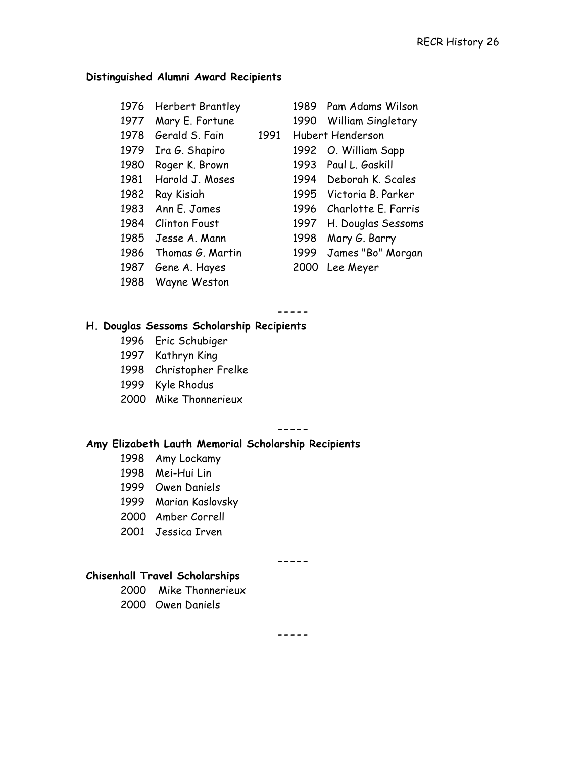#### **Distinguished Alumni Award Recipients**

| 1976 | Herbert Brantley       |  | 1989             | Pam Adams Wilson       |
|------|------------------------|--|------------------|------------------------|
| 1977 | Mary E. Fortune        |  | 1990             | William Singletary     |
| 1978 | Gerald S. Fain<br>1991 |  | Hubert Henderson |                        |
| 1979 | Ira G. Shapiro         |  | 1992             | O. William Sapp        |
| 1980 | Roger K. Brown         |  | 1993             | Paul L. Gaskill        |
| 1981 | Harold J. Moses        |  |                  | 1994 Deborah K. Scales |
| 1982 | Ray Kisiah             |  | 1995             | Victoria B. Parker     |
| 1983 | Ann E. James           |  | 1996             | Charlotte E. Farris    |
| 1984 | Clinton Foust          |  | 1997             | H. Douglas Sessoms     |
| 1985 | Jesse A. Mann          |  | 1998             | Mary G. Barry          |
| 1986 | Thomas G. Martin       |  | 1999             | James "Bo" Morgan      |
| 1987 | Gene A. Hayes          |  | 2000             | Lee Meyer              |
| 1988 | Wayne Weston           |  |                  |                        |
|      |                        |  |                  |                        |

**-----**

## **H. Douglas Sessoms Scholarship Recipients**

- Eric Schubiger
- Kathryn King
- Christopher Frelke
- Kyle Rhodus
- Mike Thonnerieux

**-----**

# **Amy Elizabeth Lauth Memorial Scholarship Recipients**

- Amy Lockamy
- Mei-Hui Lin
- Owen Daniels
- Marian Kaslovsky
- Amber Correll
- Jessica Irven

**-----**

# **Chisenhall Travel Scholarships**

Mike Thonnerieux

Owen Daniels

**-----**